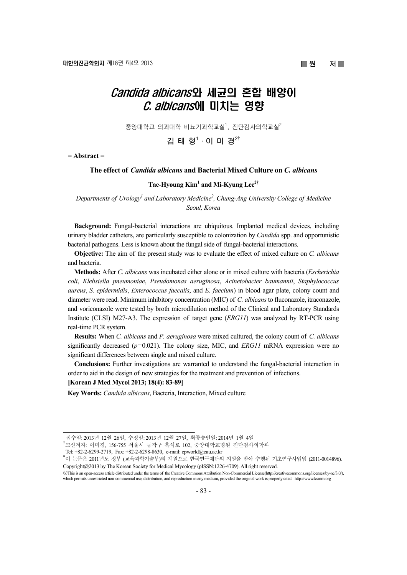# ■ 원 저■

# Candida albicans와 세균의 혼합 배양이 C. albicans에 미치는 영향

중앙대학교 의과대학 비뇨기과학교실<sup>1</sup>, 진단검사의학교실 $^2$ 

**김 태 형1 ·이 미 경2**†

**= Abstract =** 

#### **The effect of** *Candida albicans* **and Bacterial Mixed Culture on** *C. albicans*

# **Tae-Hyoung Kim1 and Mi-Kyung Lee2†**

Departments of Urology<sup>1</sup> and Laboratory Medicine<sup>2</sup>, Chung-Ang University College of Medicine *Seoul, Korea* 

**Background:** Fungal-bacterial interactions are ubiquitous. Implanted medical devices, including urinary bladder catheters, are particularly susceptible to colonization by *Candida* spp. and opportunistic bacterial pathogens. Less is known about the fungal side of fungal-bacterial interactions.

**Objective:** The aim of the present study was to evaluate the effect of mixed culture on *C. albicans* and bacteria.

**Methods:** After *C. albicans* was incubated either alone or in mixed culture with bacteria (*Escherichia coli*, *Klebsiella pneumoniae*, *Pseudomonas aeruginosa*, *Acinetobacter baumannii*, *Staphylococcus aureus*, *S. epidermidis*, *Enterococcus faecalis*, and *E. faecium*) in blood agar plate, colony count and diameter were read. Minimum inhibitory concentration (MIC) of *C. albicans* to fluconazole, itraconazole, and voriconazole were tested by broth microdilution method of the Clinical and Laboratory Standards Institute (CLSI) M27-A3. The expression of target gene (*ERG11*) was analyzed by RT-PCR using real-time PCR system.

**Results:** When *C. albicans* and *P. aeruginosa* were mixed cultured, the colony count of *C. albicans* significantly decreased  $(p=0.021)$ . The colony size, MIC, and *ERG11* mRNA expression were no significant differences between single and mixed culture.

**Conclusions:** Further investigations are warranted to understand the fungal-bacterial interaction in order to aid in the design of new strategies for the treatment and prevention of infections.

# **[Korean J Med Mycol 2013; 18(4): 83-89]**

**Key Words:** *Candida albicans*, Bacteria, Interaction, Mixed culture

접수일: 2013년 12월 26일, 수정일: 2013년 12월 27일, 최종승인일: 2014년 1월 4일

<sup>†</sup> 교신저자: 이미경, 156-755 서울시 동작구 흑석로 102, 중앙대학교병원 진단검사의학과

Tel: +82-2-6299-2719, Fax: +82-2-6298-8630, e-mail: cpworld@cau.ac.kr

<sup>\*</sup> 이 논문은 2011년도 정부 (교육과학기술부)의 재원으로 한국연구재단의 지원을 받아 수행된 기초연구사업임 (2011-0014896). Copyright@2013 by The Korean Society for Medical Mycology (pISSN:1226-4709). All right reserved.

<sup>○</sup>cc This is an open-access article distributed under the terms of the Creative Commons Attribution Non-Commercial License(http://creativecommons.org/licenses/by-nc/3.0/), which permits unrestricted non-commercial use, distribution, and reproduction in any medium, provided the original work is properly cited. http://www.ksmm.org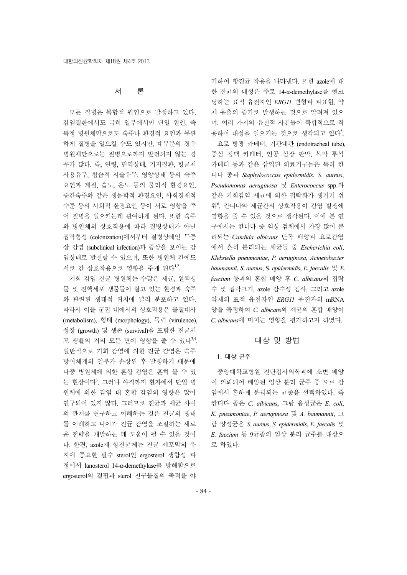# 서 론

모든 질병은 복합적 원인으로 발생하고 있다. 감염질환에서도 극히 일부에서만 단일 원인, 즉 특정 병원체만으로도 숙주나 환경적 요인과 무관 하게 질병을 일으킬 수도 있지만, 대부분의 경우 병원체만으로는 질병으로까지 발전되지 않는 경 우가 많다. 즉, 연령, 면역상태, 기저질환, 항균제 사용유무, 침습적 시술유무, 영양상태 등의 숙주 요인과 계절, 습도, 온도 등의 물리적 환경요인, 중간숙주와 같은 생물학적 환경요인, 사회경제적 수준 등의 사회적 환경요인 등이 서로 영향을 주 어 질병을 일으키는데 관여하게 된다. 또한 숙주 와 병원체의 상호작용에 따라 질병상태가 아닌 집락형성 (colonization)에서부터 질병상태인 무증 상 감염 (subclinical infection)과 증상을 보이는 감 염상태로 발전할 수 있으며, 또한 병원체 간에도 서로 간 상호작용으로 영향을 주게 된다<sup>1,2</sup>.

기회 감염 진균 병원체는 수많은 세균, 원핵생 물 및 진핵세포 생물들이 살고 있는 환경과 숙주 와 관련된 생태적 위치에 널리 분포하고 있다. 따라서 이들 군집 내에서의 상호작용은 물질대사 (metabolism), 형태 (morphology), 독력 (virulence), 성장 (growth) 및 생존 (survival)을 포함한 진균세 포 생활의 거의 모든 면에 영향을 줄 수 있다<sup>3,4</sup>. 일반적으로 기회 감염에 의한 진균 감염은 숙주 방어체계의 일부가 손상된 후 발생하기 때문에 다중 병원체에 의한 혼합 감염은 흔히 볼 수 있 는 현상이다<sup>3</sup>. 그러나 아직까지 환자에서 단일 병 원체에 의한 감염 대 혼합 감염의 영향은 많이 연구되어 있지 않다. 그러므로 진균과 세균 사이 의 관계를 연구하고 이해하는 것은 진균의 생태 를 이해하고 나아가 진균 감염을 조절하는 새로 운 전략을 개발하는 데 도움이 될 수 있을 것이 다. 한편, azole계 항진균제는 진균 세포막의 유 지에 중요한 필수 sterol인 ergosterol 생합성 과 정에서 lanosterol 14-α-demethylase를 방해함으로 ergosterol의 결핍과 sterol 전구물질의 축적을 야 기하여 항진균 작용을 나타낸다. 또한 azole에 대 한 진균의 내성은 주로 14-α-demethylase를 엔코 딩하는 표적 유전자인 *ERG11* 변형과 과표현, 약 제 유출의 증가로 발생하는 것으로 알려져 있으 며, 여러 가지의 유전적 사건들이 복합적으로 작 용하여 내성을 일으키는 것으로 생각되고 있다<sup>5</sup>.

요로 방광 카테터, 기관내관 (endotracheal tube), 중심 정맥 카테터, 인공 심장 판막, 복막 투석 카테터 등과 같은 삽입된 의료기구들은 특히 칸 디다 종과 *Staphylococcus epidermidis*, *S. aureus*, *Pseudomonas aeruginosa* 및 *Enterococcus* spp.와 같은 기회감염 세균에 의한 집락화가 생기기 쉬 워<sup>6</sup> , 칸디다와 세균간의 상호작용이 감염 발생에 영향을 줄 수 있을 것으로 생각된다. 이에 본 연 구에서는 칸디다 중 임상 검체에서 가장 많이 분 리되는 *Candida albicans* 단독 배양과 요로감염 에서 흔히 분리되는 세균들 중 *Escherichia coli*, *Klebsiella pneumoniae*, *P. aeruginosa*, *Acinetobacter baumannii*, *S. aureus*, S*. epidermidis*, *E. faecalis* 및 *E. faecium* 등과의 혼합 배양 후 *C. albicans*의 집락 수 및 집락크기, azole 감수성 검사, 그리고 azole 약제의 표적 유전자인 *ERG11* 유전자의 mRNA 양을 측정하여 *C. albicans*와 세균의 혼합 배양이 *C. albicans*에 미치는 영향을 평가하고자 하였다.

# 대상 및 방법

#### 1. 대상 균주

중앙대학교병원 진단검사의학과에 소변 배양 이 의뢰되어 배양된 임상 분리 균주 중 요로 감 염에서 흔하게 분리되는 균종을 선택하였다. 즉 칸디다 종은 *C. albicans*, 그람 음성균은 *E. coli*, *K. pneumoniae*, *P. aeruginosa* 및 *A. baumannii*, 그 람 양성균은 *S. aureus*, *S. epidermidis*, *E. faecalis* 및 *E. faecium* 등 9균종의 임상 분리 균주를 대상으 로 하였다.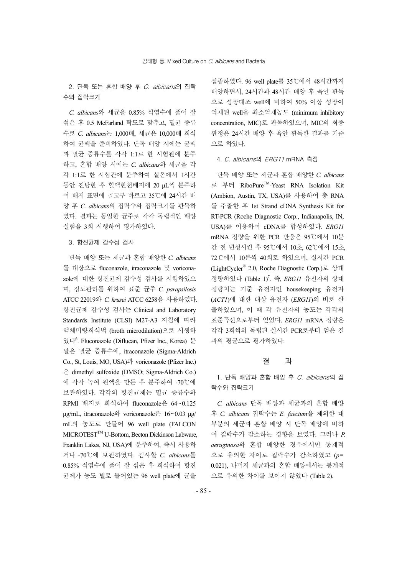2. 단독 또는 혼합 배양 후 C. albicans의 집락 수와 집락크기

*C. albicans*와 세균을 0.85% 식염수에 풀어 잘 섞은 후 0.5 McFarland 탁도로 맞추고, 멸균 증류 수로 *C. albicans*는 1,000배, 세균은 10,000배 희석 하여 균액을 준비하였다. 단독 배양 시에는 균액 과 멸균 증류수를 각각 1:1로 한 시험관에 분주 하고, 혼합 배양 시에는 *C. albicans*와 세균을 각 각 1:1로 한 시험관에 분주하여 실온에서 1시간 동안 진탕한 후 혈액한천배지에 20 μL씩 분주하 여 배지 표면에 골고루 바르고 35℃에 24시간 배 양 후 *C. albicans*의 집락수와 집락크기를 판독하 였다. 결과는 동일한 균주로 각각 독립적인 배양 실험을 3회 시행하여 평가하였다.

# 3. 항진균제 감수성 검사

단독 배양 또는 세균과 혼합 배양한 *C. albicans* 를 대상으로 fluconazole, itraconazole 및 voriconazole에 대한 항진균제 감수성 검사를 시행하였으 며, 정도관리를 위하여 표준 균주 *C. parapsilosis* ATCC 22019와 *C. krusei* ATCC 6258을 사용하였다. 항진균제 감수성 검사는 Clinical and Laboratory Standards Institute (CLSI) M27-A3 지침에 따라 액체미량희석법 (broth microdilution)으로 시행하 였다<sup>6</sup> . Fluconazole (Diflucan, Pfizer Inc., Korea) 분 말은 멸균 증류수에, itraconazole (Sigma-Aldrich Co., St, Louis, MO, USA)과 voriconazole (Pfizer Inc.) 은 dimethyl sulfoxide (DMSO; Sigma-Aldrich Co.) 에 각각 녹여 원액을 만든 후 분주하여 -70℃에 보관하였다. 각각의 항진균제는 멸균 증류수와 RPMI 배지로 희석하여 fluconazole은 64~0.125 μg/mL, itraconazole와 voriconazole은 16~0.03 μg/ mL의 농도로 만들어 96 well plate (FALCON MICROTEST<sup>™</sup> U-Bottom, Becton Dickinson Labware, Franklin Lakes, NJ, USA)에 분주하여, 즉시 사용하 거나 -70℃에 보관하였다. 검사할 *C. albicans*를 0.85% 식염수에 풀어 잘 섞은 후 희석하여 항진 균제가 농도 별로 들어있는 96 well plate에 균을

접종하였다. 96 well plate를 35℃에서 48시간까지 배양하면서, 24시간과 48시간 배양 후 육안 판독 으로 성장대조 well에 비하여 50% 이상 성장이 억제된 well을 최소억제농도 (minimum inhibitory concentration, MIC)로 판독하였으며, MIC의 최종 판정은 24시간 배양 후 육안 판독한 결과를 기준 으로 하였다.

#### 4. C. albicans의 ERG11 mRNA 측정

단독 배양 또는 세균과 혼합 배양한 *C. albicans* 로 부터 RiboPureTM-Yeast RNA Isolation Kit (Ambion, Austin, TX, USA)를 사용하여 총 RNA 를 추출한 후 1st Strand cDNA Synthesis Kit for RT-PCR (Roche Diagnostic Corp., Indianapolis, IN, USA)를 이용하여 cDNA를 합성하였다. *ERG11* mRNA 정량을 위한 PCR 반응은 95℃에서 10분 간 전 변성시킨 후 95℃에서 10초, 62℃에서 15초, 72℃에서 10분씩 40회로 하였으며, 실시간 PCR (LightCycler® 2.0, Roche Diagnostic Corp.)로 상대 정량하였다 (Table 1)7 . 즉, *ERG11* 유전자의 상대 정량치는 기준 유전자인 housekeeping 유전자 (*ACT1*)에 대한 대상 유전자 (*ERG11*)의 비로 산 출하였으며, 이 때 각 유전자의 농도는 각각의 표준곡선으로부터 얻었다. *ERG11* mRNA 정량은 각각 3회씩의 독립된 실시간 PCR로부터 얻은 결 과의 평균으로 평가하였다.

### 결 과

1. 단독 배양과 혼합 배양 후 C. albicans의 집 락수와 집락크기

*C. albicans* 단독 배양과 세균과의 혼합 배양 후 *C. albicans* 집락수는 *E. faecium*을 제외한 대 부분의 세균과 혼합 배양 시 단독 배양에 비하 여 집락수가 감소하는 경향을 보였다. 그러나 *P. aeruginosa*와 혼합 배양한 경우에서만 통계적 으로 유의한 차이로 집락수가 감소하였고 (*p*= 0.021), 나머지 세균과의 혼합 배양에서는 통계적 으로 유의한 차이를 보이지 않았다 (Table 2).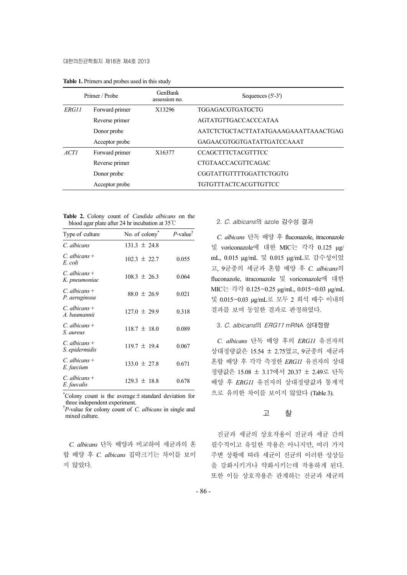| Primer / Probe |                | GenBank<br>assession no. | Sequences $(5'-3')$                  |  |
|----------------|----------------|--------------------------|--------------------------------------|--|
| ERG11          | Forward primer | X13296                   | TGGAGACGTGATGCTG                     |  |
|                | Reverse primer |                          | <b>AGTATGTTGACCACCCATAA</b>          |  |
|                | Donor probe    |                          | AATCTCTGCTACTTATATGAAAGAAATTAAACTGAG |  |
|                | Acceptor probe |                          | GAGAACGTGGTGATATTGATCCAAAT           |  |
| ACT1           | Forward primer | X16377                   | <b>CCAGCTTTCTACGTTTCC</b>            |  |
|                | Reverse primer |                          | <b>CTGTAACCACGTTCAGAC</b>            |  |
|                | Donor probe    |                          | CGGTATTGTTTTGGATTCTGGTG              |  |
|                | Acceptor probe |                          | TGTGTTTACTCACGTTGTTCC                |  |

**Table 1.** Primers and probes used in this study

**Table 2.** Colony count of *Candida albicans* on the blood agar plate after 24 hr incubation at 35℃

| Type of culture                     | No. of colony    | $P$ -value <sup>†</sup> |
|-------------------------------------|------------------|-------------------------|
| C. albicans                         | $131.3 \pm 24.8$ |                         |
| $C.$ albicans +<br>E. coli          | $102.3 \pm 22.7$ | 0.055                   |
| $C_{a}$ albicans +<br>K. pneumoniae | $108.3 \pm 26.3$ | 0.064                   |
| $C_{a}$ albicans +<br>P. aeruginosa | $88.0 \pm 26.9$  | 0.021                   |
| $C_{a}$ albicans +<br>A. baumannii  | $127.0 \pm 29.9$ | 0.318                   |
| $C.$ albicans +<br>S. aureus        | $118.7 \pm 18.0$ | 0.089                   |
| $C.$ albicans +<br>S. epidermidis   | $119.7 \pm 19.4$ | 0.067                   |
| $C.$ albicans +<br>E. faecium       | $133.0 \pm 27.8$ | 0.671                   |
| $C.$ albicans +<br>E. faecalis      | $129.3 \pm 18.8$ | 0.678                   |

\* Colony count is the average±standard deviation for three independent experiment.

† *P*-value for colony count of *C. albicans* in single and mixed culture.

*C. albicans* 단독 배양과 비교하여 세균과의 혼 합 배양 후 *C. albicans* 집락크기는 차이를 보이 지 않았다.

# 2. C. albicans의 azole 감수성 결과

*C. albicans* 단독 배양 후 fluconazole, itraconazole 및 voriconazole에 대한 MIC는 각각 0.125 μg/ mL, 0.015 μg/mL 및 0.015 μg/mL로 감수성이었 고, 9균종의 세균과 혼합 배양 후 *C. albicans*의 fluconazole, itraconazole 및 voriconazole에 대한 MIC는 각각 0.125~0.25 μg/mL, 0.015~0.03 μg/mL 및 0.015~0.03 μg/mL로 모두 2 희석 배수 이내의 결과를 보여 동일한 결과로 판정하였다.

# 3. C. albicans의 ERG11 mRNA 상대정량

*C. albicans* 단독 배양 후의 *ERG11* 유전자의 상대정량값은 15.54 ± 2.75였고, 9균종의 세균과 혼합 배양 후 각각 측정한 *ERG11* 유전자의 상대 정량값은 15.08 ± 3.17에서 20.37 ± 2.49로 단독 배양 후 *ERG11* 유전자의 상대정량값과 통계적 으로 유의한 차이를 보이지 않았다 (Table 3).

### 고 찰

진균과 세균의 상호작용이 진균과 세균 간의 필수적이고 유일한 작용은 아니지만, 여러 가지 주변 상황에 따라 세균이 진균의 이러한 성상들 을 강화시키거나 약화시키는데 작용하게 된다. 또한 이들 상호작용은 관계하는 진균과 세균의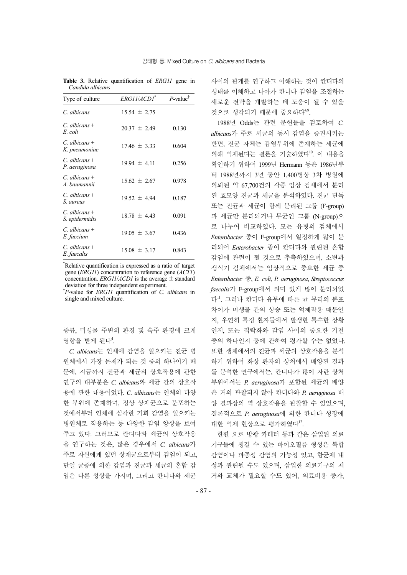| Type of culture                   | ERG11/ACD1*      | $P$ -value <sup>†</sup> |
|-----------------------------------|------------------|-------------------------|
| C. albicans                       | $15.54 \pm 2.75$ |                         |
| C. albicans +<br>E. coli          | $20.37 \pm 2.49$ | 0.130                   |
| $C.$ albicans +<br>K. pneumoniae  | $17.46 \pm 3.33$ | 0.604                   |
| $C.$ albicans +<br>P. aeruginosa  | $19.94 \pm 4.11$ | 0.256                   |
| $C.$ albicans +<br>A. baumannii   | $15.62 \pm 2.67$ | 0.978                   |
| $C.$ albicans +<br>S. aureus      | $19.52 \pm 4.94$ | 0.187                   |
| $C.$ albicans +<br>S. epidermidis | $18.78 \pm 4.43$ | 0.091                   |
| $C.$ albicans +<br>E. faecium     | $19.05 \pm 3.67$ | 0.436                   |
| $C.$ albicans +<br>E. faecalis    | $15.08 \pm 3.17$ | 0.843                   |

**Table 3.** Relative quantification of *ERG11* gene in *Candida albicans* 

\* Relative quantification is expressed as a ratio of target gene (*ERG11*) concentration to reference gene (*ACT1*) concentration. *ERG11/ACD1* is the average  $\pm$  standard deviation for three independent experiment.

† *P*-value for *ERG11* quantification of *C. albicans* in single and mixed culture.

종류, 미생물 주변의 환경 및 숙주 환경에 크게 영향을 받게 된다<sup>4</sup>.

*C. albicans*는 인체에 감염을 일으키는 진균 병 원체에서 가장 문제가 되는 것 중의 하나이기 때 문에, 지금까지 진균과 세균의 상호작용에 관한 연구의 대부분은 *C. albicans*와 세균 간의 상호작 용에 관한 내용이었다. *C. albicans*는 인체의 다양 한 부위에 존재하며, 정상 상재균으로 분포하는 것에서부터 인체에 심각한 기회 감염을 일으키는 병원체로 작용하는 등 다양한 감염 양상을 보여 주고 있다. 그러므로 칸디다와 세균의 상호작용 을 연구하는 것은, 많은 경우에서 *C. albicans*가 주로 자신에게 있던 상재균으로부터 감염이 되고, 단일 균종에 의한 감염과 진균과 세균의 혼합 감 염은 다른 성상을 가지며, 그리고 칸디다와 세균

사이의 관계를 연구하고 이해하는 것이 칸디다의 생태를 이해하고 나아가 칸디다 감염을 조절하는 새로운 전략을 개발하는 데 도움이 될 수 있을 것으로 생각되기 때문에 중요하다<sup>49</sup>.

1988년 Odds는 관련 문헌들을 검토하여 *C. albicans*가 주로 세균의 동시 감염을 증진시키는 반면, 진균 자체는 감염부위에 존재하는 세균에 의해 억제된다는 결론을 기술하였다<sup>10</sup>. 이 내용을 확인하기 위하여 1999년 Hermann 등은 1986년부 터 1988년까지 3년 동안 1,400병상 3차 병원에 의뢰된 약 67,700건의 각종 임상 검체에서 분리 된 효모양 진균과 세균을 분석하였다. 진균 단독 또는 진균과 세균이 함께 분리된 그룹 (F-group) 과 세균만 분리되거나 무균인 그룹 (N-group)으 로 나누어 비교하였다. 모든 유형의 검체에서 *Enterobacter* 종이 F-group에서 일정하게 많이 분 리되어 *Enterobacter* 종이 칸디다와 관련된 혼합 감염에 관련이 될 것으로 추측하였으며, 소변과 생식기 검체에서는 임상적으로 중요한 세균 중 *Enterobacte*r 종, *E. coli*, *P. aeruginosa*, *Streptococcus faecalis*가 F-group에서 의미 있게 많이 분리되었 다11. 그러나 칸디다 유무에 따른 균 무리의 분포 차이가 미생물 간의 상승 또는 억제작용 때문인 지, 우연히 특정 환자들에서 발생한 특수한 상황 인지, 또는 집락화와 감염 사이의 중요한 기전 중의 하나인지 등에 관하여 평가할 수는 없었다. 또한 생체에서의 진균과 세균의 상호작용을 분석 하기 위하여 화상 환자의 상처에서 배양된 결과 를 분석한 연구에서는, 칸디다가 많이 자란 상처 부위에서는 *P. aeruginosa*가 포함된 세균의 배양 은 거의 관찰되지 않아 칸디다와 *P. aeruginosa* 배 양 결과상의 역 상호작용을 관찰할 수 있었으며, 결론적으로 *P. aeruginosa*에 의한 칸디다 성장에 대한 억제 현상으로 평가하였다<sup>12</sup>.

한편 요로 방광 카테터 등과 같은 삽입된 의료 기구들에 생길 수 있는 바이오필름 형성은 복합 감염이나 파종성 감염의 가능성 있고, 항균제 내 성과 관련될 수도 있으며, 삽입한 의료기구의 제 거와 교체가 필요할 수도 있어, 의료비용 증가,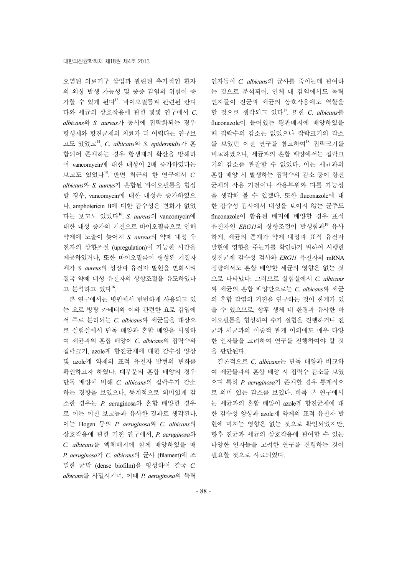오염된 의료기구 삽입과 관련된 추가적인 환자 의 외상 발생 가능성 및 중증 감염의 위험이 증 가할 수 있게 된다13. 바이오필름과 관련된 칸디 다와 세균의 상호작용에 관한 몇몇 연구에서 *C. albicans*와 *S. aureus*가 동시에 집락화되는 경우 항생제와 항진균제의 치료가 더 어렵다는 연구보 고도 있었고14, *C. albicans*와 *S. epidermidis*가 혼 합되어 존재하는 경우 항생제의 확산을 방해하 여 vancomycin에 대한 내성이 2배 증가하였다는 보고도 있었다15. 반면 최근의 한 연구에서 *C. albicans*와 *S. aureus*가 혼합된 바이오필름을 형성 할 경우, vancomycin에 대한 내성은 증가하였으 나, amphotericin B에 대한 감수성은 변화가 없었 다는 보고도 있었다16. *S. aureus*의 vancomycin에 대한 내성 증가의 기전으로 바이오필름으로 인해 약제에 노출이 늦어져 *S. aureus*의 약제 내성 유 전자의 상향조절 (upregulation)이 가능한 시간을 제공하였거나, 또한 바이오필름이 형성된 기질자 체가 *S. aureus*의 성장과 유전자 발현을 변화시켜 결국 약제 내성 유전자의 상향조절을 유도하였다 고 분석하고 있다<sup>16</sup>.

본 연구에서는 병원에서 빈번하게 사용되고 있 는 요로 방광 카테터와 이와 관련한 요로 감염에 서 주로 분리되는 *C. albicans*와 세균들을 대상으 로 실험실에서 단독 배양과 혼합 배양을 시행하 여 세균과의 혼합 배양이 *C. albicans*의 집락수와 집락크기, azole계 항진균제에 대한 감수성 양상 및 azole계 약제의 표적 유전자 발현의 변화를 확인하고자 하였다. 대부분의 혼합 배양의 경우 단독 배양에 비해 *C. albicans*의 집락수가 감소 하는 경향을 보였으나, 통계적으로 의미있게 감 소한 경우는 *P. ae*ruginosa와 혼합 배양한 경우 로 이는 이전 보고들과 유사한 결과로 생각된다. 이는 Hogen 등의 *P. aeruginosa*와 *C. albicans*의 상호작용에 관한 기전 연구에서, *P. aeruginosa*와 *C. albicans*를 액체배지에 함께 배양하였을 때 *P. aeruginosa*가 *C. albicans*의 균사 (filament)에 조 밀한 균막 (dense biofilm)을 형성하여 결국 *C. albicans*를 사멸시키며, 이때 *P. aeruginosa*의 독력

인자들이 *C. albicans*의 균사를 죽이는데 관여하 는 것으로 분석되어, 인체 내 감염에서도 독력 인자들이 진균과 세균의 상호작용에도 역할을 할 것으로 생각되고 있다17. 또한 *C. albicans*를 fluconazole이 들어있는 평판배지에 배양하였을 때 집락수의 감소는 없었으나 잡락크기의 감소 를 보였던 이전 연구를 참고하여<sup>18</sup> 집락크기를 비교하였으나, 세균과의 혼합 배양에서는 집락크 기의 감소를 관찰할 수 없었다. 이는 세균과의 혼합 배양 시 발생하는 집락수의 감소 등이 항진 균제의 작용 기전이나 작용부위와 다를 가능성 을 생각해 볼 수 있겠다. 또한 fluconazole에 대 한 감수성 검사에서 내성을 보이지 않는 균주도 fluconazole이 함유된 배지에 배양할 경우 표적 유전자인 *ERG11*의 상향조절이 발생함과<sup>19</sup> 유사 하게, 세균의 존재가 약제 내성과 표적 유전자 발현에 영향을 주는가를 확인하기 위하여 시행한 항진균제 감수성 검사와 *ERG11* 유전자의 mRNA 정량에서도 혼합 배양한 세균의 영향은 없는 것 으로 나타났다. 그러므로 실험실에서 *C. albicans* 와 세균의 혼합 배양만으로는 *C. albicans*와 세균 의 혼합 감염의 기전을 연구하는 것이 한계가 있 을 수 있으므로, 향후 생체 내 환경과 유사한 바 이오필름을 형성하여 추가 실험을 진행하거나 진 균과 세균과의 이중적 관계 이외에도 매우 다양 한 인자들을 고려하여 연구를 진행하여야 할 것 을 판단된다.

결론적으로 *C. albicans*는 단독 배양과 비교하 여 세균들과의 혼합 배양 시 집락수 감소를 보였 으며 특히 *P. aeruginosa*가 존재할 경우 통계적으 로 의미 있는 감소를 보였다. 비록 본 연구에서 는 세균과의 혼합 배양이 azole계 항진균제에 대 한 감수성 양상과 azole계 약제의 표적 유전자 발 현에 미치는 영향은 없는 것으로 확인되었지만, 향후 진균과 세균의 상호작용에 관여할 수 있는 다양한 인자들을 고려한 연구를 진행하는 것이 필요할 것으로 사료되었다.